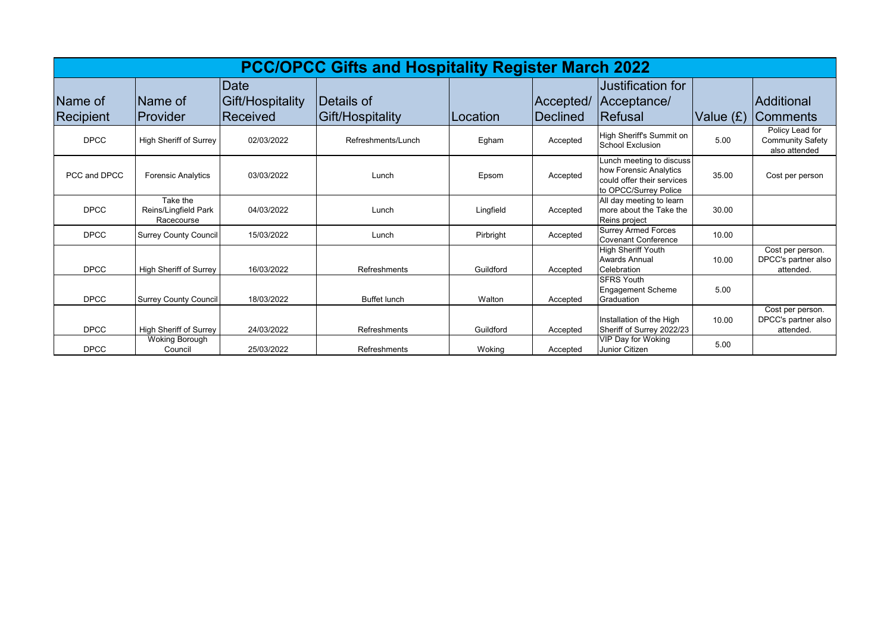|              |                                                |                  | <b>PCC/OPCC Gifts and Hospitality Register March 2022</b> |           |                  |                                                                                                           |          |                                                             |
|--------------|------------------------------------------------|------------------|-----------------------------------------------------------|-----------|------------------|-----------------------------------------------------------------------------------------------------------|----------|-------------------------------------------------------------|
|              |                                                | <b>Date</b>      |                                                           |           |                  | Justification for                                                                                         |          |                                                             |
| Name of      | Name of                                        | Gift/Hospitality | Details of                                                |           | Accepted/        | Acceptance/                                                                                               |          | Additional                                                  |
| Recipient    | <b>Provider</b>                                | <b>Received</b>  | <b>Gift/Hospitality</b>                                   | Location  | <b>IDeclined</b> | Refusal                                                                                                   | Value (£ | <b>Comments</b>                                             |
| <b>DPCC</b>  | High Sheriff of Surrey                         | 02/03/2022       | Refreshments/Lunch                                        | Egham     | Accepted         | High Sheriff's Summit on<br><b>School Exclusion</b>                                                       | 5.00     | Policy Lead for<br><b>Community Safety</b><br>also attended |
| PCC and DPCC | <b>Forensic Analytics</b>                      | 03/03/2022       | Lunch                                                     | Epsom     | Accepted         | Lunch meeting to discuss<br>how Forensic Analytics<br>could offer their services<br>to OPCC/Surrey Police | 35.00    | Cost per person                                             |
| <b>DPCC</b>  | Take the<br>Reins/Lingfield Park<br>Racecourse | 04/03/2022       | Lunch                                                     | Lingfield | Accepted         | All day meeting to learn<br>more about the Take the<br>Reins project                                      | 30.00    |                                                             |
| <b>DPCC</b>  | <b>Surrey County Council</b>                   | 15/03/2022       | Lunch                                                     | Pirbright | Accepted         | <b>Surrey Armed Forces</b><br><b>Covenant Conference</b>                                                  | 10.00    |                                                             |
| <b>DPCC</b>  | High Sheriff of Surrey                         | 16/03/2022       | Refreshments                                              | Guildford | Accepted         | <b>High Sheriff Youth</b><br>Awards Annual<br>Celebration                                                 | 10.00    | Cost per person.<br>DPCC's partner also<br>attended.        |
| <b>DPCC</b>  | <b>Surrey County Council</b>                   | 18/03/2022       | <b>Buffet lunch</b>                                       | Walton    | Accepted         | <b>SFRS Youth</b><br><b>Engagement Scheme</b><br>Graduation                                               | 5.00     |                                                             |
| <b>DPCC</b>  | <b>High Sheriff of Surrey</b>                  | 24/03/2022       | Refreshments                                              | Guildford | Accepted         | Installation of the High<br>Sheriff of Surrey 2022/23                                                     | 10.00    | Cost per person.<br>DPCC's partner also<br>attended.        |
| <b>DPCC</b>  | <b>Woking Borough</b><br>Council               | 25/03/2022       | Refreshments                                              | Woking    | Accepted         | VIP Day for Woking<br>Junior Citizen                                                                      | 5.00     |                                                             |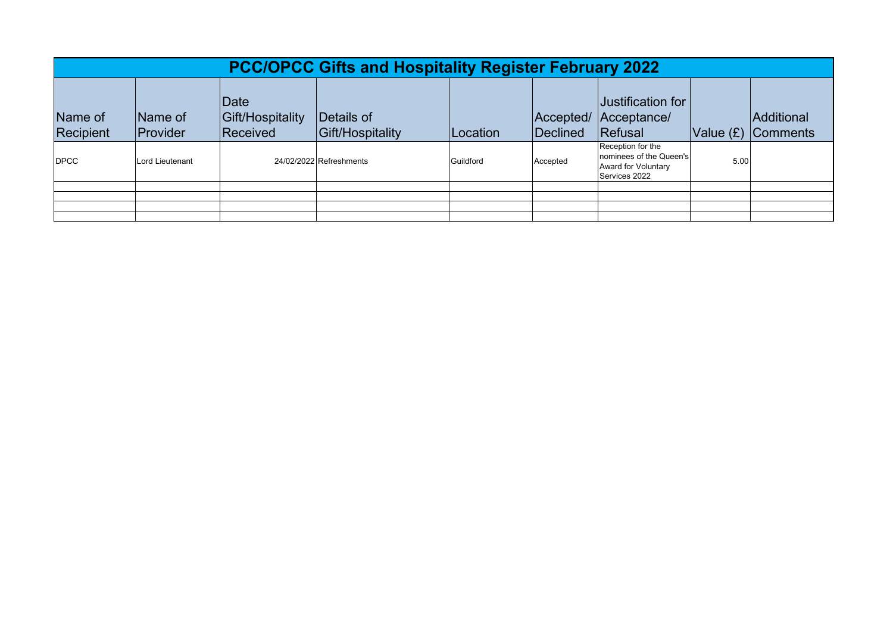|                      | <b>PCC/OPCC Gifts and Hospitality Register February 2022</b> |                                      |                                |           |          |                                                                                              |           |                               |  |  |  |  |
|----------------------|--------------------------------------------------------------|--------------------------------------|--------------------------------|-----------|----------|----------------------------------------------------------------------------------------------|-----------|-------------------------------|--|--|--|--|
| Name of<br>Recipient | Name of<br>Provider                                          | Date<br>Gift/Hospitality<br>Received | Details of<br>Gift/Hospitality | Location  | Declined | Justification for<br>Accepted/ Acceptance/<br>Refusal                                        | Value (E) | Additional<br><b>Comments</b> |  |  |  |  |
| <b>DPCC</b>          | Lord Lieutenant                                              |                                      | 24/02/2022 Refreshments        | Guildford | Accepted | Reception for the<br>Inominees of the Queen's<br><b>Award for Voluntary</b><br>Services 2022 | 5.00      |                               |  |  |  |  |
|                      |                                                              |                                      |                                |           |          |                                                                                              |           |                               |  |  |  |  |
|                      |                                                              |                                      |                                |           |          |                                                                                              |           |                               |  |  |  |  |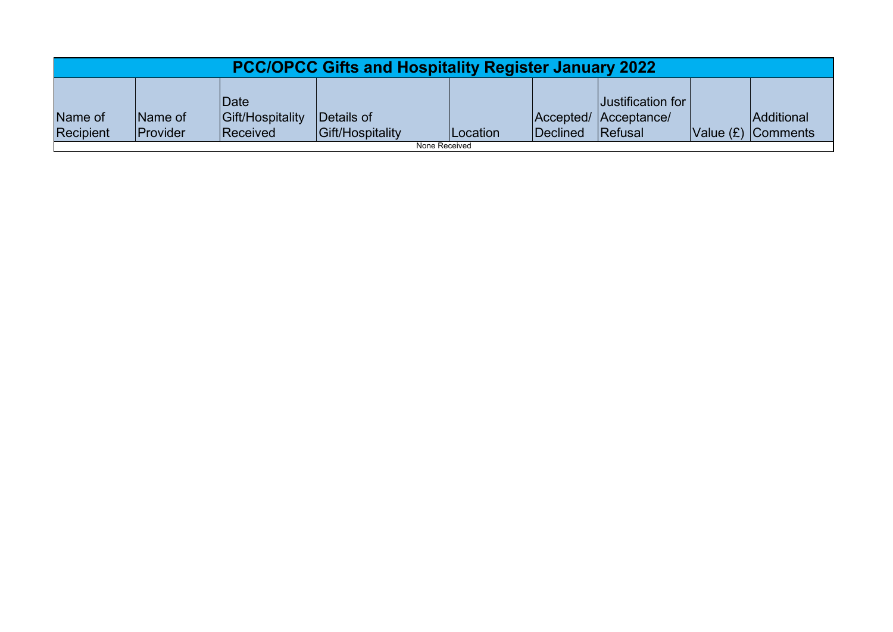| <b>PCC/OPCC Gifts and Hospitality Register January 2022</b> |                                    |                                       |                                |          |                  |                                                               |  |                                  |  |  |
|-------------------------------------------------------------|------------------------------------|---------------------------------------|--------------------------------|----------|------------------|---------------------------------------------------------------|--|----------------------------------|--|--|
| Name of<br>Recipient                                        | <b>IName of</b><br><b>Provider</b> | lDate<br>Gift/Hospitality<br>Received | Details of<br>Gift/Hospitality | Location | <b>IDeclined</b> | Uustification for l<br>Accepted/ Acceptance<br><b>Refusal</b> |  | Additional<br>Value (£) Comments |  |  |
| None Received                                               |                                    |                                       |                                |          |                  |                                                               |  |                                  |  |  |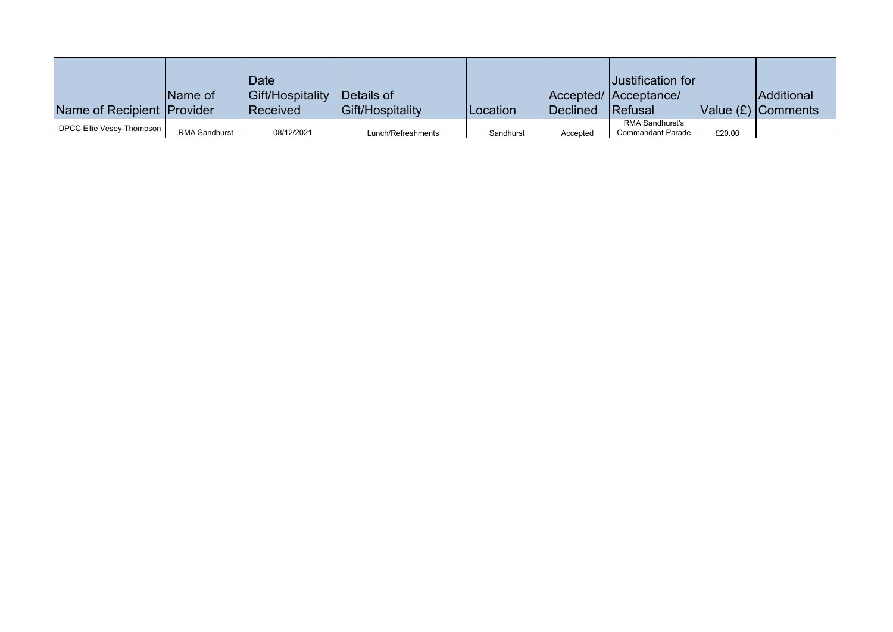| Name of Recipient Provider | IName of             | <b>Date</b><br>Gift/Hospitality<br><b>Received</b> | Details of<br>Gift/Hospitality | <b>Location</b> | <b>IDeclined</b> | Justification for<br>Accepted/ Acceptance/<br><b>Refusal</b> |        | Additional<br>Value $(E)$ Comments |
|----------------------------|----------------------|----------------------------------------------------|--------------------------------|-----------------|------------------|--------------------------------------------------------------|--------|------------------------------------|
| DPCC Ellie Vesey-Thompson  | <b>RMA Sandhurst</b> | 08/12/2021                                         | Lunch/Refreshments             | Sandhurst       | Accepted         | <b>RMA Sandhurst's</b><br><b>Commandant Parade</b>           | £20.00 |                                    |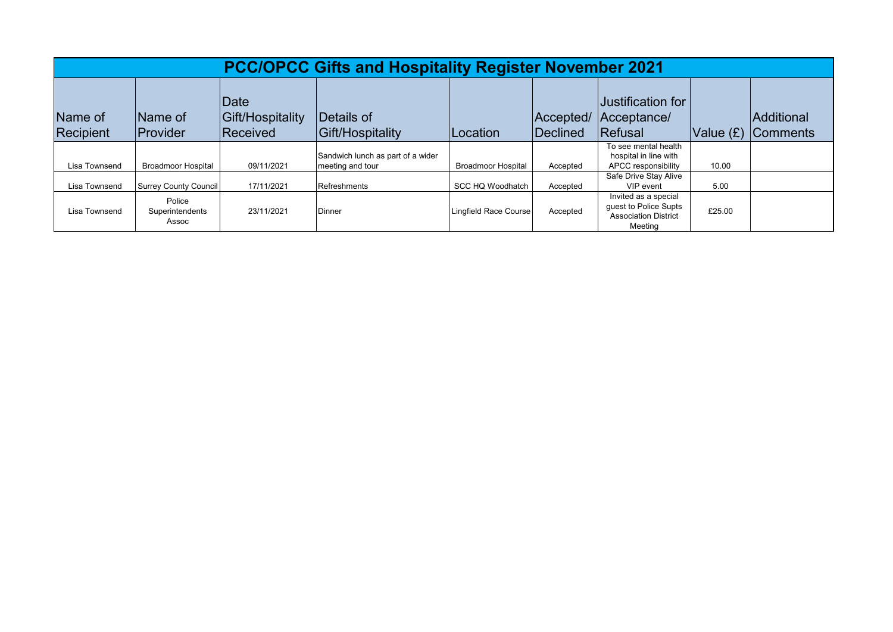|                      | <b>PCC/OPCC Gifts and Hospitality Register November 2021</b> |                                      |                                                       |                           |                       |                                                                                         |          |                               |  |  |  |  |
|----------------------|--------------------------------------------------------------|--------------------------------------|-------------------------------------------------------|---------------------------|-----------------------|-----------------------------------------------------------------------------------------|----------|-------------------------------|--|--|--|--|
| Name of<br>Recipient | Name of<br>Provider                                          | Date<br>Gift/Hospitality<br>Received | Details of<br>Gift/Hospitality                        | Location                  | Accepted/<br>Declined | Justification for<br>Acceptance/<br>Refusal                                             | Value(E) | Additional<br><b>Comments</b> |  |  |  |  |
| Lisa Townsend        | <b>Broadmoor Hospital</b>                                    | 09/11/2021                           | Sandwich lunch as part of a wider<br>meeting and tour | <b>Broadmoor Hospital</b> | Accepted              | To see mental health<br>hospital in line with<br>APCC responsibility                    | 10.00    |                               |  |  |  |  |
| Lisa Townsend        | Surrey County Council                                        | 17/11/2021                           | Refreshments                                          | SCC HQ Woodhatch          | Accepted              | Safe Drive Stay Alive<br>VIP event                                                      | 5.00     |                               |  |  |  |  |
| Lisa Townsend        | Police<br>Superintendents<br>Assoc                           | 23/11/2021                           | Dinner                                                | Lingfield Race Course     | Accepted              | Invited as a special<br>quest to Police Supts<br><b>Association District</b><br>Meeting | £25.00   |                               |  |  |  |  |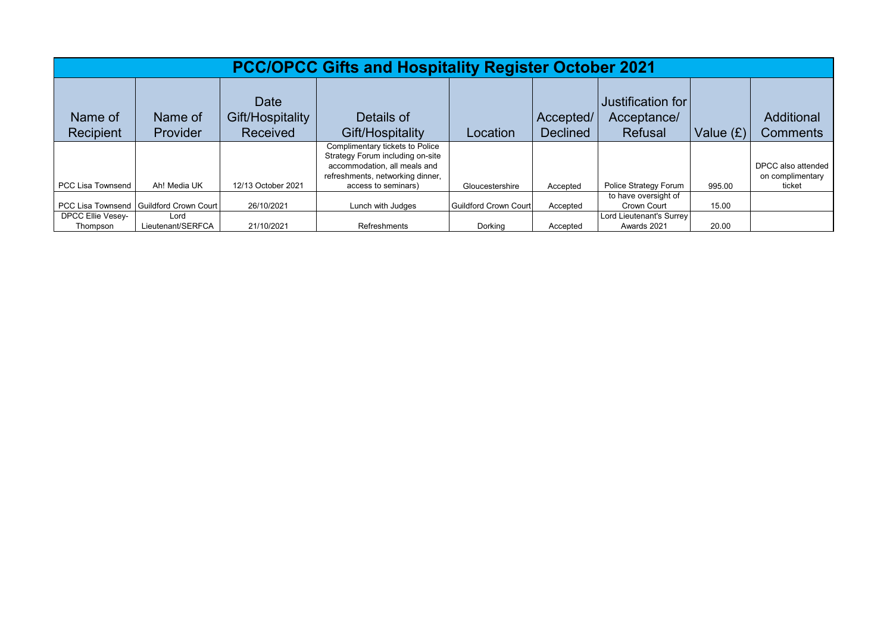|                                      | <b>PCC/OPCC Gifts and Hospitality Register October 2021</b> |                                             |                                                                                                                                                                |                       |                              |                                             |           |                                                  |  |  |  |  |
|--------------------------------------|-------------------------------------------------------------|---------------------------------------------|----------------------------------------------------------------------------------------------------------------------------------------------------------------|-----------------------|------------------------------|---------------------------------------------|-----------|--------------------------------------------------|--|--|--|--|
| Name of<br>Recipient                 | Name of<br><b>Provider</b>                                  | Date<br>Gift/Hospitality<br><b>Received</b> | Details of<br>Gift/Hospitality                                                                                                                                 | Location              | Accepted/<br><b>Declined</b> | Justification for<br>Acceptance/<br>Refusal | Value (£) | <b>Additional</b><br><b>Comments</b>             |  |  |  |  |
| PCC Lisa Townsend                    | Ah! Media UK                                                | 12/13 October 2021                          | Complimentary tickets to Police<br>Strategy Forum including on-site<br>accommodation, all meals and<br>refreshments, networking dinner,<br>access to seminars) | Gloucestershire       | Accepted                     | Police Strategy Forum                       | 995.00    | DPCC also attended<br>on complimentary<br>ticket |  |  |  |  |
|                                      | PCC Lisa Townsend   Guildford Crown Court                   | 26/10/2021                                  | Lunch with Judges                                                                                                                                              | Guildford Crown Court | Accepted                     | to have oversight of<br>Crown Court         | 15.00     |                                                  |  |  |  |  |
| <b>DPCC Ellie Vesey-</b><br>Thompson | Lord<br>Lieutenant/SERFCA                                   | 21/10/2021                                  | Refreshments                                                                                                                                                   | Dorking               | Accepted                     | Lord Lieutenant's Surrey<br>Awards 2021     | 20.00     |                                                  |  |  |  |  |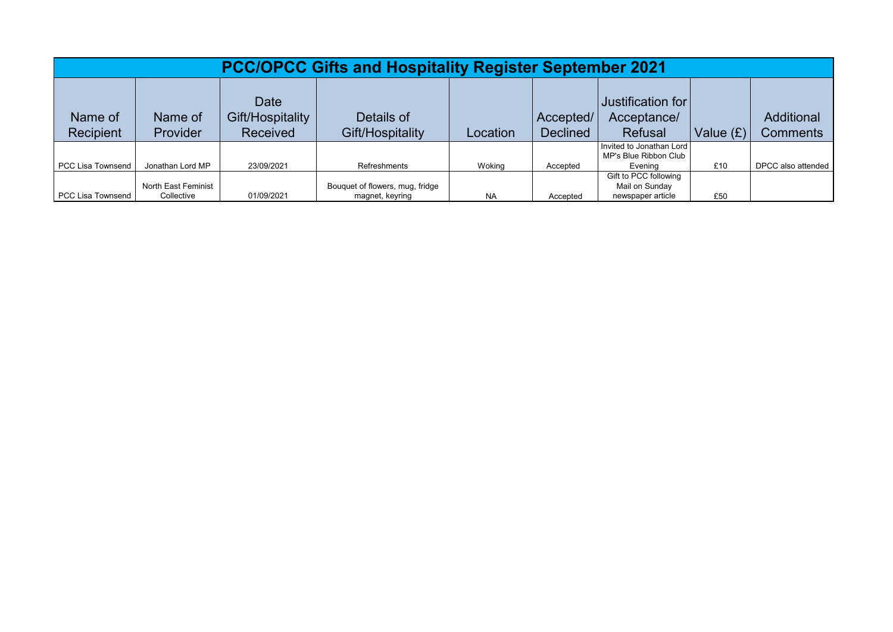|                      | <b>PCC/OPCC Gifts and Hospitality Register September 2021</b> |                                      |                                                    |           |                              |                                                   |             |                                      |  |  |  |
|----------------------|---------------------------------------------------------------|--------------------------------------|----------------------------------------------------|-----------|------------------------------|---------------------------------------------------|-------------|--------------------------------------|--|--|--|
| Name of<br>Recipient | Name of<br><b>Provider</b>                                    | Date<br>Gift/Hospitality<br>Received | Details of<br>Gift/Hospitality                     | Location  | Accepted/<br><b>Declined</b> | Justification for<br>Acceptance/<br>Refusal       | Value $(E)$ | <b>Additional</b><br><b>Comments</b> |  |  |  |
|                      |                                                               |                                      |                                                    |           |                              | Invited to Jonathan Lord<br>MP's Blue Ribbon Club |             |                                      |  |  |  |
| l PCC Lisa Townsend  | Jonathan Lord MP                                              | 23/09/2021                           | Refreshments                                       | Woking    | Accepted                     | Evening<br>Gift to PCC following                  | £10         | DPCC also attended                   |  |  |  |
| PCC Lisa Townsend    | North East Feminist<br>Collective                             | 01/09/2021                           | Bouquet of flowers, mug, fridge<br>magnet, keyring | <b>NA</b> | Accepted                     | Mail on Sunday<br>newspaper article               | £50         |                                      |  |  |  |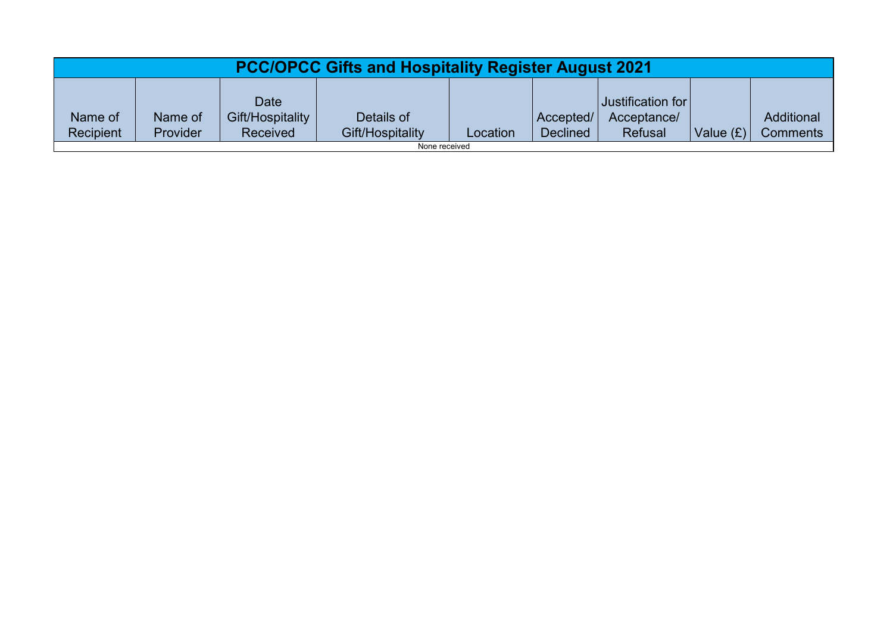|                      | <b>PCC/OPCC Gifts and Hospitality Register August 2021</b> |                                             |                                |          |                              |                                                     |          |                                      |  |  |
|----------------------|------------------------------------------------------------|---------------------------------------------|--------------------------------|----------|------------------------------|-----------------------------------------------------|----------|--------------------------------------|--|--|
| Name of<br>Recipient | Name of<br><b>Provider</b>                                 | Date<br>Gift/Hospitality<br><b>Received</b> | Details of<br>Gift/Hospitality | Location | Accepted/<br><b>Declined</b> | $\sf{Justification~forl}$<br>Acceptance/<br>Refusal | Value(E) | <b>Additional</b><br><b>Comments</b> |  |  |
|                      | None received                                              |                                             |                                |          |                              |                                                     |          |                                      |  |  |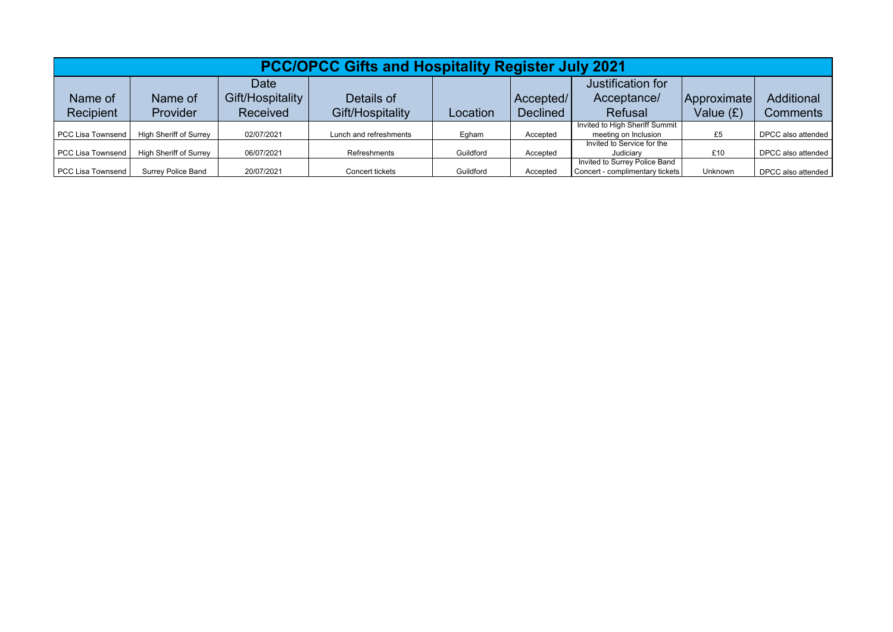|                          | <b>PCC/OPCC Gifts and Hospitality Register July 2021</b> |                  |                        |           |                 |                                 |                |                    |  |  |  |  |
|--------------------------|----------------------------------------------------------|------------------|------------------------|-----------|-----------------|---------------------------------|----------------|--------------------|--|--|--|--|
|                          |                                                          | <b>Date</b>      |                        |           |                 | Justification for               |                |                    |  |  |  |  |
| Name of                  | Name of                                                  | Gift/Hospitality | Details of             |           | Accepted/       | Acceptance/                     | Approximate    | Additional         |  |  |  |  |
| Recipient                | Provider                                                 | Received         | Gift/Hospitality       | Location  | <b>Declined</b> | Refusal                         | Value (£)      | <b>Comments</b>    |  |  |  |  |
|                          |                                                          |                  |                        |           |                 | Invited to High Sheriff Summit  |                |                    |  |  |  |  |
| <b>PCC Lisa Townsend</b> | <b>High Sheriff of Surrey</b>                            | 02/07/2021       | Lunch and refreshments | Egham     | Accepted        | meeting on Inclusion            | £5             | DPCC also attended |  |  |  |  |
|                          |                                                          |                  |                        |           |                 | Invited to Service for the      |                |                    |  |  |  |  |
| <b>PCC Lisa Townsend</b> | High Sheriff of Surrey                                   | 06/07/2021       | Refreshments           | Guildford | Accepted        | Judiciary                       | £10            | DPCC also attended |  |  |  |  |
|                          |                                                          |                  |                        |           |                 | Invited to Surrey Police Band   |                |                    |  |  |  |  |
| PCC Lisa Townsend        | Surrey Police Band                                       | 20/07/2021       | Concert tickets        | Guildford | Accepted        | Concert - complimentary tickets | <b>Unknown</b> | DPCC also attended |  |  |  |  |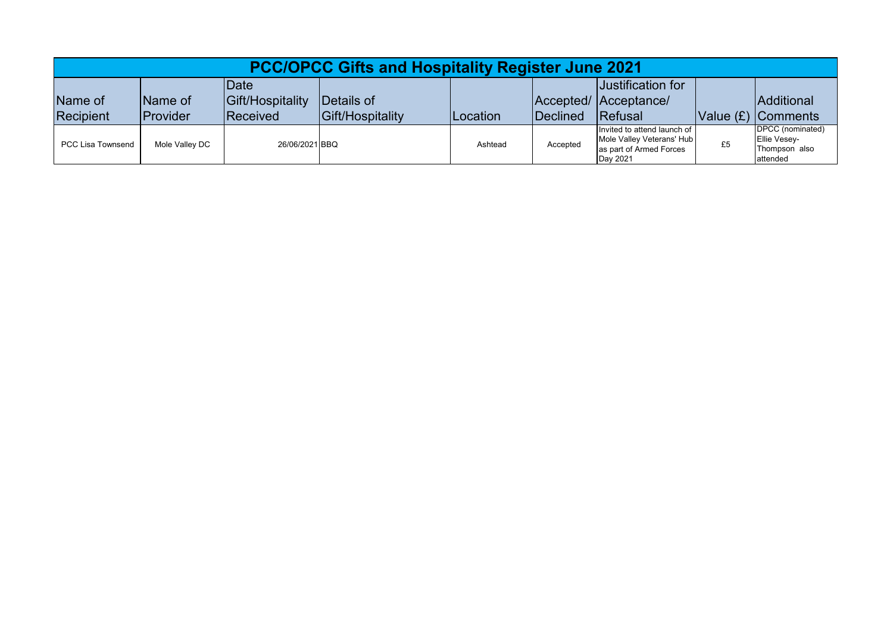|                   | <b>PCC/OPCC Gifts and Hospitality Register June 2021</b> |                  |                  |          |          |                                                                                                 |    |                                                                      |  |  |  |
|-------------------|----------------------------------------------------------|------------------|------------------|----------|----------|-------------------------------------------------------------------------------------------------|----|----------------------------------------------------------------------|--|--|--|
|                   |                                                          | <b>Date</b>      |                  |          |          | <b>Justification for</b>                                                                        |    |                                                                      |  |  |  |
| Name of           | Name of                                                  | Gift/Hospitality | Details of       |          |          | Accepted/ Acceptance/                                                                           |    | <b>Additional</b>                                                    |  |  |  |
| Recipient         | Provider                                                 | Received         | Gift/Hospitality | Location | Declined | Refusal                                                                                         |    | $ Value(E) $ Comments                                                |  |  |  |
| PCC Lisa Townsend | Mole Valley DC                                           | 26/06/2021 BBQ   |                  | Ashtead  | Accepted | Invited to attend launch of<br>Mole Valley Veterans' Hub<br>as part of Armed Forces<br>Day 2021 | £5 | DPCC (nominated)<br><b>Ellie Vesey-</b><br>Thompson also<br>attended |  |  |  |